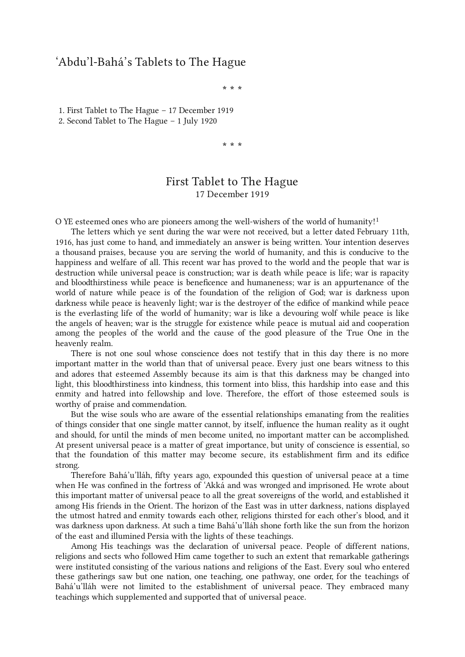# 'Abdu'l‑Bahá's Tablets to The Hague

\* \* \*

1. First Tablet to The Hague – 17 [December](#page-0-0) 1919 2. [Second](#page-8-0) Tablet to The Hague – 1 July 1920

\* \* \*

# <span id="page-0-0"></span>First Tablet to The Hague 17 December 1919

<span id="page-0-1"></span>O YE esteemed ones who are pioneers among the well-wishers of the world of humanity!<sup>[1](#page-9-0)</sup>

The letters which ye sent during the war were not received, but a letter dated February 11th, 1916, has just come to hand, and immediately an answer is being written. Your intention deserves a thousand praises, because you are serving the world of humanity, and this is conducive to the happiness and welfare of all. This recent war has proved to the world and the people that war is destruction while universal peace is construction; war is death while peace is life; war is rapacity and bloodthirstiness while peace is beneficence and humaneness; war is an appurtenance of the world of nature while peace is of the foundation of the religion of God; war is darkness upon darkness while peace is heavenly light; war is the destroyer of the edifice of mankind while peace is the everlasting life of the world of humanity; war is like a devouring wolf while peace is like the angels of heaven; war is the struggle for existence while peace is mutual aid and cooperation among the peoples of the world and the cause of the good pleasure of the True One in the heavenly realm.

There is not one soul whose conscience does not testify that in this day there is no more important matter in the world than that of universal peace. Every just one bears witness to this and adores that esteemed Assembly because its aim is that this darkness may be changed into light, this bloodthirstiness into kindness, this torment into bliss, this hardship into ease and this enmity and hatred into fellowship and love. Therefore, the effort of those esteemed souls is worthy of praise and commendation.

But the wise souls who are aware of the essential relationships emanating from the realities of things consider that one single matter cannot, by itself, influence the human reality as it ought and should, for until the minds of men become united, no important matter can be accomplished. At present universal peace is a matter of great importance, but unity of conscience is essential, so that the foundation of this matter may become secure, its establishment firm and its edifice strong.

Therefore Bahá'u'lláh, fifty years ago, expounded this question of universal peace at a time when He was confined in the fortress of 'Akká and was wronged and imprisoned. He wrote about this important matter of universal peace to all the great sovereigns of the world, and established it among His friends in the Orient. The horizon of the East was in utter darkness, nations displayed the utmost hatred and enmity towards each other, religions thirsted for each other's blood, and it was darkness upon darkness. At such a time Bahá'u'lláh shone forth like the sun from the horizon of the east and illumined Persia with the lights of these teachings.

Among His teachings was the declaration of universal peace. People of different nations, religions and sects who followed Him came together to such an extent that remarkable gatherings were instituted consisting of the various nations and religions of the East. Every soul who entered these gatherings saw but one nation, one teaching, one pathway, one order, for the teachings of Bahá'u'lláh were not limited to the establishment of universal peace. They embraced many teachings which supplemented and supported that of universal peace.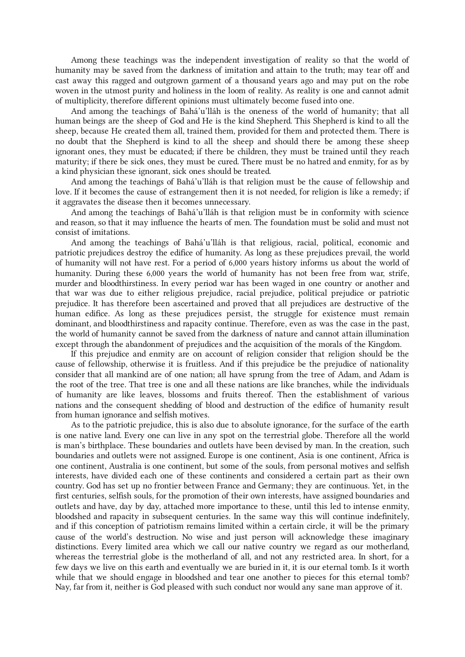Among these teachings was the independent investigation of reality so that the world of humanity may be saved from the darkness of imitation and attain to the truth; may tear off and cast away this ragged and outgrown garment of a thousand years ago and may put on the robe woven in the utmost purity and holiness in the loom of reality. As reality is one and cannot admit of multiplicity, therefore different opinions must ultimately become fused into one.

And among the teachings of Bahá'u'lláh is the oneness of the world of humanity; that all human beings are the sheep of God and He is the kind Shepherd. This Shepherd is kind to all the sheep, because He created them all, trained them, provided for them and protected them. There is no doubt that the Shepherd is kind to all the sheep and should there be among these sheep ignorant ones, they must be educated; if there be children, they must be trained until they reach maturity; if there be sick ones, they must be cured. There must be no hatred and enmity, for as by a kind physician these ignorant, sick ones should be treated.

And among the teachings of Bahá'u'lláh is that religion must be the cause of fellowship and love. If it becomes the cause of estrangement then it is not needed, for religion is like a remedy; if it aggravates the disease then it becomes unnecessary.

And among the teachings of Bahá'u'lláh is that religion must be in conformity with science and reason, so that it may influence the hearts of men. The foundation must be solid and must not consist of imitations.

And among the teachings of Bahá'u'lláh is that religious, racial, political, economic and patriotic prejudices destroy the edifice of humanity. As long as these prejudices prevail, the world of humanity will not have rest. For a period of 6,000 years history informs us about the world of humanity. During these 6,000 years the world of humanity has not been free from war, strife, murder and bloodthirstiness. In every period war has been waged in one country or another and that war was due to either religious prejudice, racial prejudice, political prejudice or patriotic prejudice. It has therefore been ascertained and proved that all prejudices are destructive of the human edifice. As long as these prejudices persist, the struggle for existence must remain dominant, and bloodthirstiness and rapacity continue. Therefore, even as was the case in the past, the world of humanity cannot be saved from the darkness of nature and cannot attain illumination except through the abandonment of prejudices and the acquisition of the morals of the Kingdom.

If this prejudice and enmity are on account of religion consider that religion should be the cause of fellowship, otherwise it is fruitless. And if this prejudice be the prejudice of nationality consider that all mankind are of one nation; all have sprung from the tree of Adam, and Adam is the root of the tree. That tree is one and all these nations are like branches, while the individuals of humanity are like leaves, blossoms and fruits thereof. Then the establishment of various nations and the consequent shedding of blood and destruction of the edifice of humanity result from human ignorance and selfish motives.

As to the patriotic prejudice, this is also due to absolute ignorance, for the surface of the earth is one native land. Every one can live in any spot on the terrestrial globe. Therefore all the world is man's birthplace. These boundaries and outlets have been devised by man. In the creation, such boundaries and outlets were not assigned. Europe is one continent, Asia is one continent, Africa is one continent, Australia is one continent, but some of the souls, from personal motives and selfish interests, have divided each one of these continents and considered a certain part as their own country. God has set up no frontier between France and Germany; they are continuous. Yet, in the first centuries, selfish souls, for the promotion of their own interests, have assigned boundaries and outlets and have, day by day, attached more importance to these, until this led to intense enmity, bloodshed and rapacity in subsequent centuries. In the same way this will continue indefinitely, and if this conception of patriotism remains limited within a certain circle, it will be the primary cause of the world's destruction. No wise and just person will acknowledge these imaginary distinctions. Every limited area which we call our native country we regard as our motherland, whereas the terrestrial globe is the motherland of all, and not any restricted area. In short, for a few days we live on this earth and eventually we are buried in it, it is our eternal tomb. Is it worth while that we should engage in bloodshed and tear one another to pieces for this eternal tomb? Nay, far from it, neither is God pleased with such conduct nor would any sane man approve of it.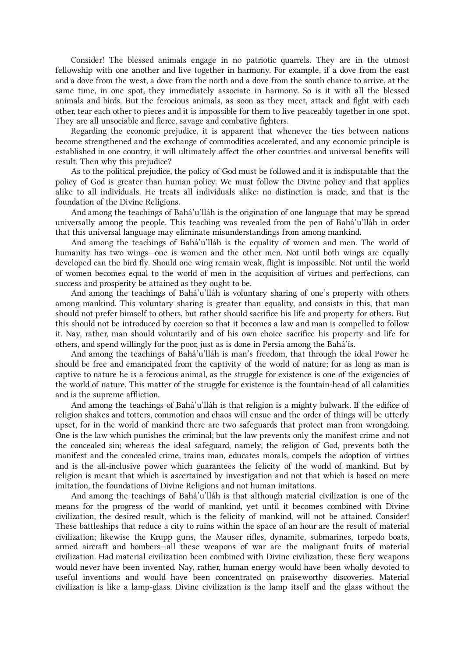Consider! The blessed animals engage in no patriotic quarrels. They are in the utmost fellowship with one another and live together in harmony. For example, if a dove from the east and a dove from the west, a dove from the north and a dove from the south chance to arrive, at the same time, in one spot, they immediately associate in harmony. So is it with all the blessed animals and birds. But the ferocious animals, as soon as they meet, attack and fight with each other, tear each other to pieces and it is impossible for them to live peaceably together in one spot. They are all unsociable and fierce, savage and combative fighters.

Regarding the economic prejudice, it is apparent that whenever the ties between nations become strengthened and the exchange of commodities accelerated, and any economic principle is established in one country, it will ultimately affect the other countries and universal benefits will result. Then why this prejudice?

As to the political prejudice, the policy of God must be followed and it is indisputable that the policy of God is greater than human policy. We must follow the Divine policy and that applies alike to all individuals. He treats all individuals alike: no distinction is made, and that is the foundation of the Divine Religions.

And among the teachings of Bahá'u'lláh is the origination of one language that may be spread universally among the people. This teaching was revealed from the pen of Bahá'u'lláh in order that this universal language may eliminate misunderstandings from among mankind.

And among the teachings of Bahá'u'lláh is the equality of women and men. The world of humanity has two wings—one is women and the other men. Not until both wings are equally developed can the bird fly. Should one wing remain weak, flight is impossible. Not until the world of women becomes equal to the world of men in the acquisition of virtues and perfections, can success and prosperity be attained as they ought to be.

And among the teachings of Bahá'u'lláh is voluntary sharing of one's property with others among mankind. This voluntary sharing is greater than equality, and consists in this, that man should not prefer himself to others, but rather should sacrifice his life and property for others. But this should not be introduced by coercion so that it becomes a law and man is compelled to follow it. Nay, rather, man should voluntarily and of his own choice sacrifice his property and life for others, and spend willingly for the poor, just as is done in Persia among the Bahá'ís.

And among the teachings of Bahá'u'lláh is man's freedom, that through the ideal Power he should be free and emancipated from the captivity of the world of nature; for as long as man is captive to nature he is a ferocious animal, as the struggle for existence is one of the exigencies of the world of nature. This matter of the struggle for existence is the fountain-head of all calamities and is the supreme affliction.

And among the teachings of Bahá'u'lláh is that religion is a mighty bulwark. If the edifice of religion shakes and totters, commotion and chaos will ensue and the order of things will be utterly upset, for in the world of mankind there are two safeguards that protect man from wrongdoing. One is the law which punishes the criminal; but the law prevents only the manifest crime and not the concealed sin; whereas the ideal safeguard, namely, the religion of God, prevents both the manifest and the concealed crime, trains man, educates morals, compels the adoption of virtues and is the all-inclusive power which guarantees the felicity of the world of mankind. But by religion is meant that which is ascertained by investigation and not that which is based on mere imitation, the foundations of Divine Religions and not human imitations.

And among the teachings of Bahá'u'lláh is that although material civilization is one of the means for the progress of the world of mankind, yet until it becomes combined with Divine civilization, the desired result, which is the felicity of mankind, will not be attained. Consider! These battleships that reduce a city to ruins within the space of an hour are the result of material civilization; likewise the Krupp guns, the Mauser rifles, dynamite, submarines, torpedo boats, armed aircraft and bombers—all these weapons of war are the malignant fruits of material civilization. Had material civilization been combined with Divine civilization, these fiery weapons would never have been invented. Nay, rather, human energy would have been wholly devoted to useful inventions and would have been concentrated on praiseworthy discoveries. Material civilization is like a lamp-glass. Divine civilization is the lamp itself and the glass without the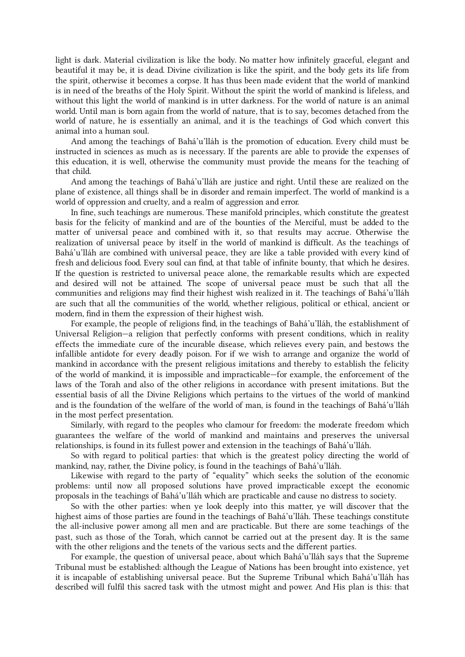light is dark. Material civilization is like the body. No matter how infinitely graceful, elegant and beautiful it may be, it is dead. Divine civilization is like the spirit, and the body gets its life from the spirit, otherwise it becomes a corpse. It has thus been made evident that the world of mankind is in need of the breaths of the Holy Spirit. Without the spirit the world of mankind is lifeless, and without this light the world of mankind is in utter darkness. For the world of nature is an animal world. Until man is born again from the world of nature, that is to say, becomes detached from the world of nature, he is essentially an animal, and it is the teachings of God which convert this animal into a human soul.

And among the teachings of Bahá'u'lláh is the promotion of education. Every child must be instructed in sciences as much as is necessary. If the parents are able to provide the expenses of this education, it is well, otherwise the community must provide the means for the teaching of that child.

And among the teachings of Bahá'u'lláh are justice and right. Until these are realized on the plane of existence, all things shall be in disorder and remain imperfect. The world of mankind is a world of oppression and cruelty, and a realm of aggression and error.

In fine, such teachings are numerous. These manifold principles, which constitute the greatest basis for the felicity of mankind and are of the bounties of the Merciful, must be added to the matter of universal peace and combined with it, so that results may accrue. Otherwise the realization of universal peace by itself in the world of mankind is difficult. As the teachings of Bahá'u'lláh are combined with universal peace, they are like a table provided with every kind of fresh and delicious food. Every soul can find, at that table of infinite bounty, that which he desires. If the question is restricted to universal peace alone, the remarkable results which are expected and desired will not be attained. The scope of universal peace must be such that all the communities and religions may find their highest wish realized in it. The teachings of Bahá'u'lláh are such that all the communities of the world, whether religious, political or ethical, ancient or modern, find in them the expression of their highest wish.

For example, the people of religions find, in the teachings of Bahá'u'lláh, the establishment of Universal Religion—a religion that perfectly conforms with present conditions, which in reality effects the immediate cure of the incurable disease, which relieves every pain, and bestows the infallible antidote for every deadly poison. For if we wish to arrange and organize the world of mankind in accordance with the present religious imitations and thereby to establish the felicity of the world of mankind, it is impossible and impracticable—for example, the enforcement of the laws of the Torah and also of the other religions in accordance with present imitations. But the essential basis of all the Divine Religions which pertains to the virtues of the world of mankind and is the foundation of the welfare of the world of man, is found in the teachings of Bahá'u'lláh in the most perfect presentation.

Similarly, with regard to the peoples who clamour for freedom: the moderate freedom which guarantees the welfare of the world of mankind and maintains and preserves the universal relationships, is found in its fullest power and extension in the teachings of Bahá'u'lláh.

So with regard to political parties: that which is the greatest policy directing the world of mankind, nay, rather, the Divine policy, is found in the teachings of Bahá'u'lláh.

Likewise with regard to the party of "equality" which seeks the solution of the economic problems: until now all proposed solutions have proved impracticable except the economic proposals in the teachings of Bahá'u'lláh which are practicable and cause no distress to society.

So with the other parties: when ye look deeply into this matter, ye will discover that the highest aims of those parties are found in the teachings of Bahá'u'lláh. These teachings constitute the all-inclusive power among all men and are practicable. But there are some teachings of the past, such as those of the Torah, which cannot be carried out at the present day. It is the same with the other religions and the tenets of the various sects and the different parties.

<span id="page-3-0"></span>For example, the question of universal peace, about which Bahá'u'lláh says that the Supreme Tribunal must be established: although the League of Nations has been brought into existence, yet it is incapable of establishing universal peace. But the Supreme Tribunal which Bahá'u'lláh has described will fulfil this sacred task with the utmost might and power. And His plan is this: that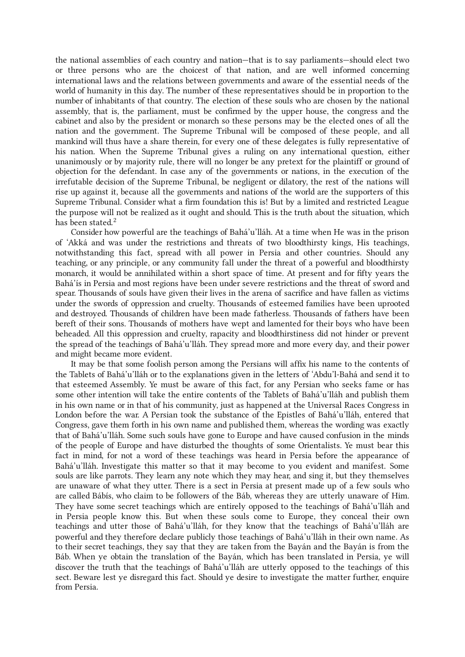the national assemblies of each country and nation—that is to say parliaments—should elect two or three persons who are the choicest of that nation, and are well informed concerning international laws and the relations between governments and aware of the essential needs of the world of humanity in this day. The number of these representatives should be in proportion to the number of inhabitants of that country. The election of these souls who are chosen by the national assembly, that is, the parliament, must be confirmed by the upper house, the congress and the cabinet and also by the president or monarch so these persons may be the elected ones of all the nation and the government. The Supreme Tribunal will be composed of these people, and all mankind will thus have a share therein, for every one of these delegates is fully representative of his nation. When the Supreme Tribunal gives a ruling on any international question, either unanimously or by majority rule, there will no longer be any pretext for the plaintiff or ground of objection for the defendant. In case any of the governments or nations, in the execution of the irrefutable decision of the Supreme Tribunal, be negligent or dilatory, the rest of the nations will rise up against it, because all the governments and nations of the world are the supporters of this Supreme Tribunal. Consider what a firm foundation this is! But by a limited and restricted League the purpose will not be realized as it ought and should. This is the truth about the situation, which has been stated. [2](#page-9-1)

Consider how powerful are the teachings of Bahá'u'lláh. At a time when He was in the prison of 'Akká and was under the restrictions and threats of two bloodthirsty kings, His teachings, notwithstanding this fact, spread with all power in Persia and other countries. Should any teaching, or any principle, or any community fall under the threat of a powerful and bloodthirsty monarch, it would be annihilated within a short space of time. At present and for fifty years the Bahá'ís in Persia and most regions have been under severe restrictions and the threat of sword and spear. Thousands of souls have given their lives in the arena of sacrifice and have fallen as victims under the swords of oppression and cruelty. Thousands of esteemed families have been uprooted and destroyed. Thousands of children have been made fatherless. Thousands of fathers have been bereft of their sons. Thousands of mothers have wept and lamented for their boys who have been beheaded. All this oppression and cruelty, rapacity and bloodthirstiness did not hinder or prevent the spread of the teachings of Bahá'u'lláh. They spread more and more every day, and their power and might became more evident.

It may be that some foolish person among the Persians will affix his name to the contents of the Tablets of Bahá'u'lláh or to the explanations given in the letters of 'Abdu'l‑Bahá and send it to that esteemed Assembly. Ye must be aware of this fact, for any Persian who seeks fame or has some other intention will take the entire contents of the Tablets of Bahá'u'lláh and publish them in his own name or in that of his community, just as happened at the Universal Races Congress in London before the war. A Persian took the substance of the Epistles of Bahá'u'lláh, entered that Congress, gave them forth in his own name and published them, whereas the wording was exactly that of Bahá'u'lláh. Some such souls have gone to Europe and have caused confusion in the minds of the people of Europe and have disturbed the thoughts of some Orientalists. Ye must bear this fact in mind, for not a word of these teachings was heard in Persia before the appearance of Bahá'u'lláh. Investigate this matter so that it may become to you evident and manifest. Some souls are like parrots. They learn any note which they may hear, and sing it, but they themselves are unaware of what they utter. There is a sect in Persia at present made up of a few souls who are called Bábís, who claim to be followers of the Báb, whereas they are utterly unaware of Him. They have some secret teachings which are entirely opposed to the teachings of Bahá'u'lláh and in Persia people know this. But when these souls come to Europe, they conceal their own teachings and utter those of Bahá'u'lláh, for they know that the teachings of Bahá'u'lláh are powerful and they therefore declare publicly those teachings of Bahá'u'lláh in their own name. As to their secret teachings, they say that they are taken from the Bayán and the Bayán is from the Báb. When ye obtain the translation of the Bayán, which has been translated in Persia, ye will discover the truth that the teachings of Bahá'u'lláh are utterly opposed to the teachings of this sect. Beware lest ye disregard this fact. Should ye desire to investigate the matter further, enquire from Persia.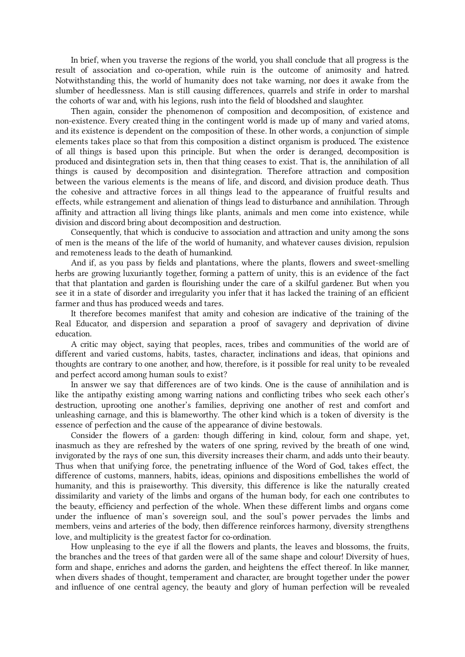In brief, when you traverse the regions of the world, you shall conclude that all progress is the result of association and co-operation, while ruin is the outcome of animosity and hatred. Notwithstanding this, the world of humanity does not take warning, nor does it awake from the slumber of heedlessness. Man is still causing differences, quarrels and strife in order to marshal the cohorts of war and, with his legions, rush into the field of bloodshed and slaughter.

Then again, consider the phenomenon of composition and decomposition, of existence and non-existence. Every created thing in the contingent world is made up of many and varied atoms, and its existence is dependent on the composition of these. In other words, a conjunction of simple elements takes place so that from this composition a distinct organism is produced. The existence of all things is based upon this principle. But when the order is deranged, decomposition is produced and disintegration sets in, then that thing ceases to exist. That is, the annihilation of all things is caused by decomposition and disintegration. Therefore attraction and composition between the various elements is the means of life, and discord, and division produce death. Thus the cohesive and attractive forces in all things lead to the appearance of fruitful results and effects, while estrangement and alienation of things lead to disturbance and annihilation. Through affinity and attraction all living things like plants, animals and men come into existence, while division and discord bring about decomposition and destruction.

Consequently, that which is conducive to association and attraction and unity among the sons of men is the means of the life of the world of humanity, and whatever causes division, repulsion and remoteness leads to the death of humankind.

And if, as you pass by fields and plantations, where the plants, flowers and sweet-smelling herbs are growing luxuriantly together, forming a pattern of unity, this is an evidence of the fact that that plantation and garden is flourishing under the care of a skilful gardener. But when you see it in a state of disorder and irregularity you infer that it has lacked the training of an efficient farmer and thus has produced weeds and tares.

It therefore becomes manifest that amity and cohesion are indicative of the training of the Real Educator, and dispersion and separation a proof of savagery and deprivation of divine education.

A critic may object, saying that peoples, races, tribes and communities of the world are of different and varied customs, habits, tastes, character, inclinations and ideas, that opinions and thoughts are contrary to one another, and how, therefore, is it possible for real unity to be revealed and perfect accord among human souls to exist?

In answer we say that differences are of two kinds. One is the cause of annihilation and is like the antipathy existing among warring nations and conflicting tribes who seek each other's destruction, uprooting one another's families, depriving one another of rest and comfort and unleashing carnage, and this is blameworthy. The other kind which is a token of diversity is the essence of perfection and the cause of the appearance of divine bestowals.

Consider the flowers of a garden: though differing in kind, colour, form and shape, yet, inasmuch as they are refreshed by the waters of one spring, revived by the breath of one wind, invigorated by the rays of one sun, this diversity increases their charm, and adds unto their beauty. Thus when that unifying force, the penetrating influence of the Word of God, takes effect, the difference of customs, manners, habits, ideas, opinions and dispositions embellishes the world of humanity, and this is praiseworthy. This diversity, this difference is like the naturally created dissimilarity and variety of the limbs and organs of the human body, for each one contributes to the beauty, efficiency and perfection of the whole. When these different limbs and organs come under the influence of man's sovereign soul, and the soul's power pervades the limbs and members, veins and arteries of the body, then difference reinforces harmony, diversity strengthens love, and multiplicity is the greatest factor for co-ordination.

How unpleasing to the eye if all the flowers and plants, the leaves and blossoms, the fruits, the branches and the trees of that garden were all of the same shape and colour! Diversity of hues, form and shape, enriches and adorns the garden, and heightens the effect thereof. In like manner, when divers shades of thought, temperament and character, are brought together under the power and influence of one central agency, the beauty and glory of human perfection will be revealed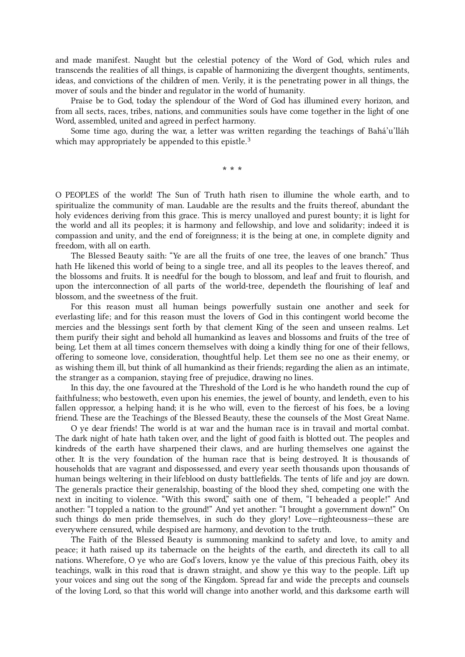and made manifest. Naught but the celestial potency of the Word of God, which rules and transcends the realities of all things, is capable of harmonizing the divergent thoughts, sentiments, ideas, and convictions of the children of men. Verily, it is the penetrating power in all things, the mover of souls and the binder and regulator in the world of humanity.

Praise be to God, today the splendour of the Word of God has illumined every horizon, and from all sects, races, tribes, nations, and communities souls have come together in the light of one Word, assembled, united and agreed in perfect harmony.

<span id="page-6-0"></span>Some time ago, during the war, a letter was written regarding the teachings of Bahá'u'lláh which may appropriately be appended to this epistle.<sup>[3](#page-9-2)</sup>

\* \* \*

O PEOPLES of the world! The Sun of Truth hath risen to illumine the whole earth, and to spiritualize the community of man. Laudable are the results and the fruits thereof, abundant the holy evidences deriving from this grace. This is mercy unalloyed and purest bounty; it is light for the world and all its peoples; it is harmony and fellowship, and love and solidarity; indeed it is compassion and unity, and the end of foreignness; it is the being at one, in complete dignity and freedom, with all on earth.

The Blessed Beauty saith: "Ye are all the fruits of one tree, the leaves of one branch." Thus hath He likened this world of being to a single tree, and all its peoples to the leaves thereof, and the blossoms and fruits. It is needful for the bough to blossom, and leaf and fruit to flourish, and upon the interconnection of all parts of the world-tree, dependeth the flourishing of leaf and blossom, and the sweetness of the fruit.

For this reason must all human beings powerfully sustain one another and seek for everlasting life; and for this reason must the lovers of God in this contingent world become the mercies and the blessings sent forth by that clement King of the seen and unseen realms. Let them purify their sight and behold all humankind as leaves and blossoms and fruits of the tree of being. Let them at all times concern themselves with doing a kindly thing for one of their fellows, offering to someone love, consideration, thoughtful help. Let them see no one as their enemy, or as wishing them ill, but think of all humankind as their friends; regarding the alien as an intimate, the stranger as a companion, staying free of prejudice, drawing no lines.

In this day, the one favoured at the Threshold of the Lord is he who handeth round the cup of faithfulness; who bestoweth, even upon his enemies, the jewel of bounty, and lendeth, even to his fallen oppressor, a helping hand; it is he who will, even to the fiercest of his foes, be a loving friend. These are the Teachings of the Blessed Beauty, these the counsels of the Most Great Name.

O ye dear friends! The world is at war and the human race is in travail and mortal combat. The dark night of hate hath taken over, and the light of good faith is blotted out. The peoples and kindreds of the earth have sharpened their claws, and are hurling themselves one against the other. It is the very foundation of the human race that is being destroyed. It is thousands of households that are vagrant and dispossessed, and every year seeth thousands upon thousands of human beings weltering in their lifeblood on dusty battlefields. The tents of life and joy are down. The generals practice their generalship, boasting of the blood they shed, competing one with the next in inciting to violence. "With this sword," saith one of them, "I beheaded a people!" And another: "I toppled a nation to the ground!" And yet another: "I brought a government down!" On such things do men pride themselves, in such do they glory! Love—righteousness—these are everywhere censured, while despised are harmony, and devotion to the truth.

The Faith of the Blessed Beauty is summoning mankind to safety and love, to amity and peace; it hath raised up its tabernacle on the heights of the earth, and directeth its call to all nations. Wherefore, O ye who are God's lovers, know ye the value of this precious Faith, obey its teachings, walk in this road that is drawn straight, and show ye this way to the people. Lift up your voices and sing out the song of the Kingdom. Spread far and wide the precepts and counsels of the loving Lord, so that this world will change into another world, and this darksome earth will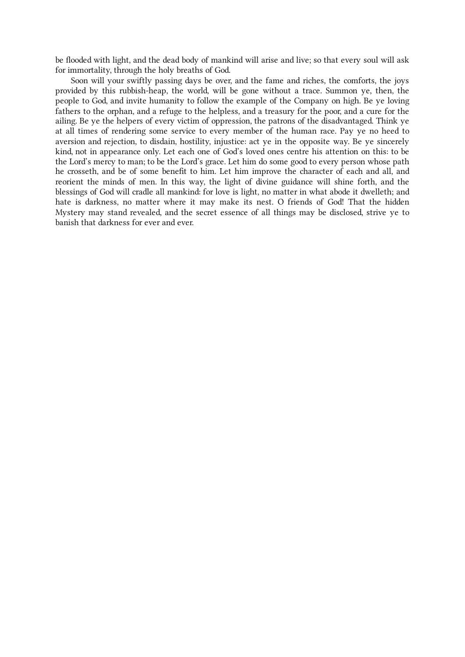be flooded with light, and the dead body of mankind will arise and live; so that every soul will ask for immortality, through the holy breaths of God.

Soon will your swiftly passing days be over, and the fame and riches, the comforts, the joys provided by this rubbish-heap, the world, will be gone without a trace. Summon ye, then, the people to God, and invite humanity to follow the example of the Company on high. Be ye loving fathers to the orphan, and a refuge to the helpless, and a treasury for the poor, and a cure for the ailing. Be ye the helpers of every victim of oppression, the patrons of the disadvantaged. Think ye at all times of rendering some service to every member of the human race. Pay ye no heed to aversion and rejection, to disdain, hostility, injustice: act ye in the opposite way. Be ye sincerely kind, not in appearance only. Let each one of God's loved ones centre his attention on this: to be the Lord's mercy to man; to be the Lord's grace. Let him do some good to every person whose path he crosseth, and be of some benefit to him. Let him improve the character of each and all, and reorient the minds of men. In this way, the light of divine guidance will shine forth, and the blessings of God will cradle all mankind: for love is light, no matter in what abode it dwelleth; and hate is darkness, no matter where it may make its nest. O friends of God! That the hidden Mystery may stand revealed, and the secret essence of all things may be disclosed, strive ye to banish that darkness for ever and ever.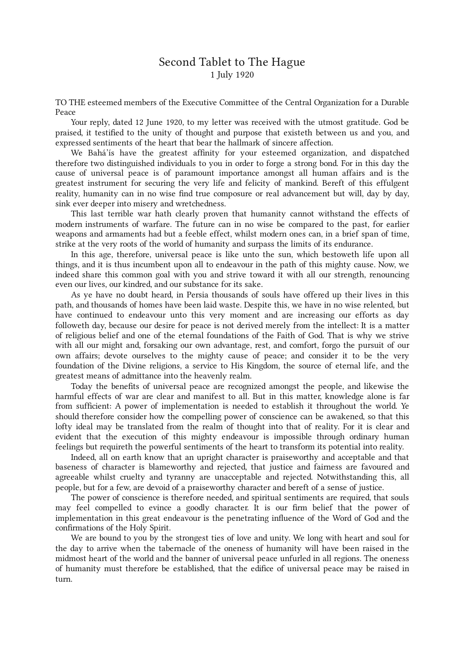## <span id="page-8-0"></span>Second Tablet to The Hague 1 July 1920

TO THE esteemed members of the Executive Committee of the Central Organization for a Durable Peace

Your reply, dated 12 June 1920, to my letter was received with the utmost gratitude. God be praised, it testified to the unity of thought and purpose that existeth between us and you, and expressed sentiments of the heart that bear the hallmark of sincere affection.

We Bahá'ís have the greatest affinity for your esteemed organization, and dispatched therefore two distinguished individuals to you in order to forge a strong bond. For in this day the cause of universal peace is of paramount importance amongst all human affairs and is the greatest instrument for securing the very life and felicity of mankind. Bereft of this effulgent reality, humanity can in no wise find true composure or real advancement but will, day by day, sink ever deeper into misery and wretchedness.

This last terrible war hath clearly proven that humanity cannot withstand the effects of modern instruments of warfare. The future can in no wise be compared to the past, for earlier weapons and armaments had but a feeble effect, whilst modern ones can, in a brief span of time, strike at the very roots of the world of humanity and surpass the limits of its endurance.

In this age, therefore, universal peace is like unto the sun, which bestoweth life upon all things, and it is thus incumbent upon all to endeavour in the path of this mighty cause. Now, we indeed share this common goal with you and strive toward it with all our strength, renouncing even our lives, our kindred, and our substance for its sake.

As ye have no doubt heard, in Persia thousands of souls have offered up their lives in this path, and thousands of homes have been laid waste. Despite this, we have in no wise relented, but have continued to endeavour unto this very moment and are increasing our efforts as day followeth day, because our desire for peace is not derived merely from the intellect: It is a matter of religious belief and one of the eternal foundations of the Faith of God. That is why we strive with all our might and, forsaking our own advantage, rest, and comfort, forgo the pursuit of our own affairs; devote ourselves to the mighty cause of peace; and consider it to be the very foundation of the Divine religions, a service to His Kingdom, the source of eternal life, and the greatest means of admittance into the heavenly realm.

Today the benefits of universal peace are recognized amongst the people, and likewise the harmful effects of war are clear and manifest to all. But in this matter, knowledge alone is far from sufficient: A power of implementation is needed to establish it throughout the world. Ye should therefore consider how the compelling power of conscience can be awakened, so that this lofty ideal may be translated from the realm of thought into that of reality. For it is clear and evident that the execution of this mighty endeavour is impossible through ordinary human feelings but requireth the powerful sentiments of the heart to transform its potential into reality.

Indeed, all on earth know that an upright character is praiseworthy and acceptable and that baseness of character is blameworthy and rejected, that justice and fairness are favoured and agreeable whilst cruelty and tyranny are unacceptable and rejected. Notwithstanding this, all people, but for a few, are devoid of a praiseworthy character and bereft of a sense of justice.

The power of conscience is therefore needed, and spiritual sentiments are required, that souls may feel compelled to evince a goodly character. It is our firm belief that the power of implementation in this great endeavour is the penetrating influence of the Word of God and the confirmations of the Holy Spirit.

We are bound to you by the strongest ties of love and unity. We long with heart and soul for the day to arrive when the tabernacle of the oneness of humanity will have been raised in the midmost heart of the world and the banner of universal peace unfurled in all regions. The oneness of humanity must therefore be established, that the edifice of universal peace may be raised in turn.